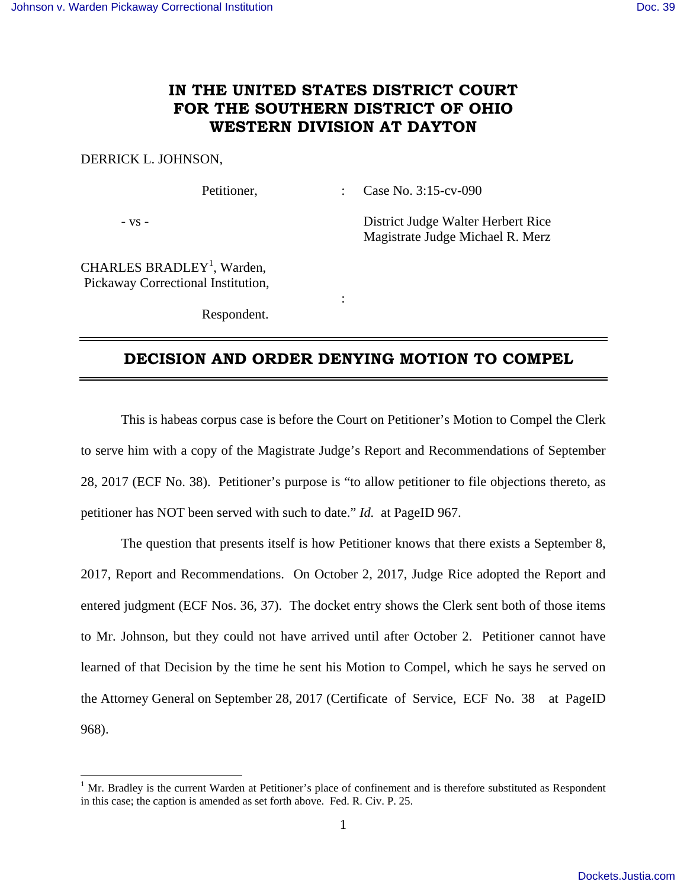## **IN THE UNITED STATES DISTRICT COURT FOR THE SOUTHERN DISTRICT OF OHIO WESTERN DIVISION AT DAYTON**

## DERRICK L. JOHNSON,

Petitioner, : Case No. 3:15-cv-090

<u>.</u>

- vs - District Judge Walter Herbert Rice Magistrate Judge Michael R. Merz

CHARLES BRADLEY<sup>1</sup>, Warden, Pickaway Correctional Institution,

Respondent.

**Service State State State** 

## **DECISION AND ORDER DENYING MOTION TO COMPEL**

 This is habeas corpus case is before the Court on Petitioner's Motion to Compel the Clerk to serve him with a copy of the Magistrate Judge's Report and Recommendations of September 28, 2017 (ECF No. 38). Petitioner's purpose is "to allow petitioner to file objections thereto, as petitioner has NOT been served with such to date." *Id.* at PageID 967.

 The question that presents itself is how Petitioner knows that there exists a September 8, 2017, Report and Recommendations. On October 2, 2017, Judge Rice adopted the Report and entered judgment (ECF Nos. 36, 37). The docket entry shows the Clerk sent both of those items to Mr. Johnson, but they could not have arrived until after October 2. Petitioner cannot have learned of that Decision by the time he sent his Motion to Compel, which he says he served on the Attorney General on September 28, 2017(Certificate of Service, ECF No. 38 at PageID 968).

<sup>&</sup>lt;sup>1</sup> Mr. Bradley is the current Warden at Petitioner's place of confinement and is therefore substituted as Respondent in this case; the caption is amended as set forth above. Fed. R. Civ. P. 25.